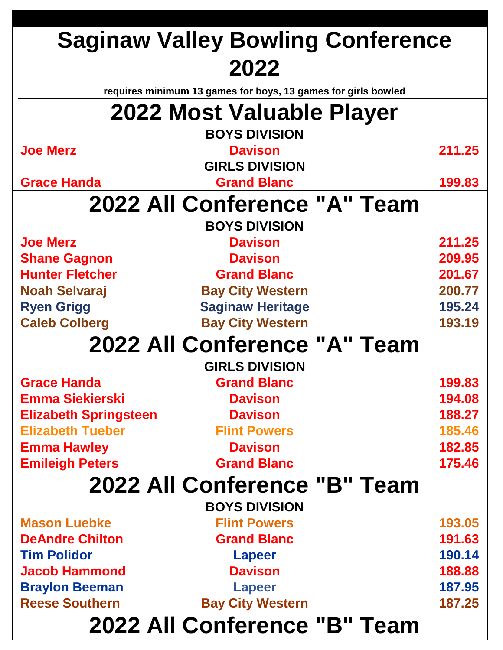|                              | <b>Saginaw Valley Bowling Conference</b>                      |        |
|------------------------------|---------------------------------------------------------------|--------|
|                              | 2022                                                          |        |
|                              | requires minimum 13 games for boys, 13 games for girls bowled |        |
|                              | 2022 Most Valuable Player                                     |        |
|                              | <b>BOYS DIVISION</b>                                          |        |
| <b>Joe Merz</b>              | <b>Davison</b>                                                | 211.25 |
|                              | <b>GIRLS DIVISION</b>                                         |        |
| <b>Grace Handa</b>           | <b>Grand Blanc</b>                                            | 199.83 |
|                              | 2022 All Conference "A" Team                                  |        |
|                              | <b>BOYS DIVISION</b>                                          |        |
| <b>Joe Merz</b>              | <b>Davison</b>                                                | 211.25 |
| <b>Shane Gagnon</b>          | <b>Davison</b>                                                | 209.95 |
| <b>Hunter Fletcher</b>       | <b>Grand Blanc</b>                                            | 201.67 |
| <b>Noah Selvaraj</b>         | <b>Bay City Western</b>                                       | 200.77 |
| <b>Ryen Grigg</b>            | <b>Saginaw Heritage</b>                                       | 195.24 |
| <b>Caleb Colberg</b>         | <b>Bay City Western</b>                                       | 193.19 |
|                              | 2022 All Conference "A" Team                                  |        |
|                              | <b>GIRLS DIVISION</b>                                         |        |
| <b>Grace Handa</b>           | <b>Grand Blanc</b>                                            | 199.83 |
| <b>Emma Siekierski</b>       | <b>Davison</b>                                                | 194.08 |
| <b>Elizabeth Springsteen</b> | <b>Davison</b>                                                | 188.27 |
| <b>Elizabeth Tueber</b>      | <b>Flint Powers</b>                                           | 185.46 |
| <b>Emma Hawley</b>           | <b>Davison</b>                                                | 182.85 |
| <b>Emileigh Peters</b>       | <b>Grand Blanc</b>                                            | 175.46 |
|                              | 2022 All Conference "B" Team                                  |        |
|                              | <b>BOYS DIVISION</b>                                          |        |
| <b>Mason Luebke</b>          | <b>Flint Powers</b>                                           | 193.05 |
| <b>DeAndre Chilton</b>       | <b>Grand Blanc</b>                                            | 191.63 |
| <b>Tim Polidor</b>           | <b>Lapeer</b>                                                 | 190.14 |
| <b>Jacob Hammond</b>         | <b>Davison</b>                                                | 188.88 |
| <b>Braylon Beeman</b>        | <b>Lapeer</b>                                                 | 187.95 |
| <b>Reese Southern</b>        | <b>Bay City Western</b>                                       | 187.25 |
|                              | 2022 All Conference "B" Team                                  |        |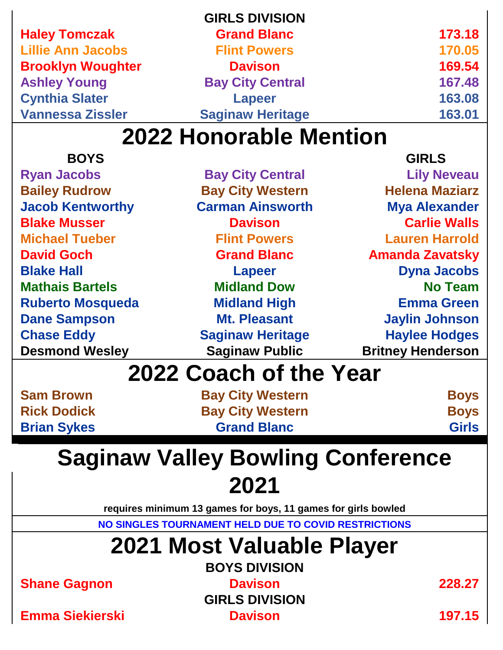|                          | <b>GIRLS DIVISION</b>   |        |
|--------------------------|-------------------------|--------|
| <b>Haley Tomczak</b>     | <b>Grand Blanc</b>      | 173.18 |
| <b>Lillie Ann Jacobs</b> | <b>Flint Powers</b>     | 170.05 |
| <b>Brooklyn Woughter</b> | <b>Davison</b>          | 169.54 |
| <b>Ashley Young</b>      | <b>Bay City Central</b> | 167.48 |
| <b>Cynthia Slater</b>    | <b>Lapeer</b>           | 163.08 |
| <b>Vannessa Zissler</b>  | <b>Saginaw Heritage</b> | 163.01 |
|                          |                         |        |

| <b>BOYS</b>             |                         | <b>GIRLS</b>             |
|-------------------------|-------------------------|--------------------------|
| <b>Ryan Jacobs</b>      | <b>Bay City Central</b> | <b>Lily Neveau</b>       |
| <b>Bailey Rudrow</b>    | <b>Bay City Western</b> | <b>Helena Maziarz</b>    |
| <b>Jacob Kentworthy</b> | <b>Carman Ainsworth</b> | <b>Mya Alexander</b>     |
| <b>Blake Musser</b>     | <b>Davison</b>          | <b>Carlie Walls</b>      |
| <b>Michael Tueber</b>   | <b>Flint Powers</b>     | <b>Lauren Harrold</b>    |
| <b>David Goch</b>       | <b>Grand Blanc</b>      | <b>Amanda Zavatsky</b>   |
| <b>Blake Hall</b>       | <b>Lapeer</b>           | <b>Dyna Jacobs</b>       |
| <b>Mathais Bartels</b>  | <b>Midland Dow</b>      | <b>No Team</b>           |
| <b>Ruberto Mosqueda</b> | <b>Midland High</b>     | <b>Emma Green</b>        |
| <b>Dane Sampson</b>     | <b>Mt. Pleasant</b>     | <b>Jaylin Johnson</b>    |
| <b>Chase Eddy</b>       | <b>Saginaw Heritage</b> | <b>Haylee Hodges</b>     |
| <b>Desmond Wesley</b>   | <b>Saginaw Public</b>   | <b>Britney Henderson</b> |
|                         | Cooch of the Voor       |                          |

### **2022 Coach of the Year**

| <b>Sam Brown</b>   |
|--------------------|
| <b>Rick Dodick</b> |
| <b>Brian Sykes</b> |

| <b>Sam Brown</b>   | <b>Bay City Western</b> | <b>Boys</b>  |
|--------------------|-------------------------|--------------|
| <b>Rick Dodick</b> | <b>Bay City Western</b> | <b>Boys</b>  |
| <b>Brian Sykes</b> | <b>Grand Blanc</b>      | <b>Girls</b> |

# **Saginaw Valley Bowling Conference 2021**

**requires minimum 13 games for boys, 11 games for girls bowled**

**NO SINGLES TOURNAMENT HELD DUE TO COVID RESTRICTIONS**

# **2021 Most Valuable Player**

**Shane Gagnon Davison 228.27**

**BOYS DIVISION GIRLS DIVISION**

**Emma Siekierski Davison 197.15**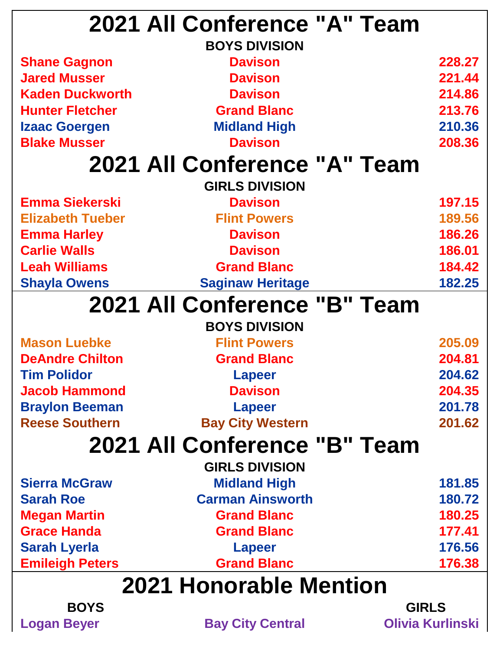|                         | 2021 All Conference "A" Team  |        |
|-------------------------|-------------------------------|--------|
|                         | <b>BOYS DIVISION</b>          |        |
| <b>Shane Gagnon</b>     | <b>Davison</b>                | 228.27 |
| <b>Jared Musser</b>     | <b>Davison</b>                | 221.44 |
| <b>Kaden Duckworth</b>  | <b>Davison</b>                | 214.86 |
| <b>Hunter Fletcher</b>  | <b>Grand Blanc</b>            | 213.76 |
| <b>Izaac Goergen</b>    | <b>Midland High</b>           | 210.36 |
| <b>Blake Musser</b>     | <b>Davison</b>                | 208.36 |
|                         | 2021 All Conference "A" Team  |        |
|                         | <b>GIRLS DIVISION</b>         |        |
| <b>Emma Siekerski</b>   | <b>Davison</b>                | 197.15 |
| <b>Elizabeth Tueber</b> | <b>Flint Powers</b>           | 189.56 |
| <b>Emma Harley</b>      | <b>Davison</b>                | 186.26 |
| <b>Carlie Walls</b>     | <b>Davison</b>                | 186.01 |
| <b>Leah Williams</b>    | <b>Grand Blanc</b>            | 184.42 |
| <b>Shayla Owens</b>     | <b>Saginaw Heritage</b>       | 182.25 |
|                         | 2021 All Conference "B" Team  |        |
|                         | <b>BOYS DIVISION</b>          |        |
| <b>Mason Luebke</b>     | <b>Flint Powers</b>           | 205.09 |
| <b>DeAndre Chilton</b>  | <b>Grand Blanc</b>            | 204.81 |
| <b>Tim Polidor</b>      | Lapeer                        | 204.62 |
| <b>Jacob Hammond</b>    | <b>Davison</b>                | 204.35 |
| <b>Braylon Beeman</b>   | <b>Lapeer</b>                 | 201.78 |
| <b>Reese Southern</b>   | <b>Bay City Western</b>       | 201.62 |
|                         | 2021 All Conference "B" Team  |        |
|                         | <b>GIRLS DIVISION</b>         |        |
| <b>Sierra McGraw</b>    | <b>Midland High</b>           | 181.85 |
| <b>Sarah Roe</b>        | <b>Carman Ainsworth</b>       | 180.72 |
| <b>Megan Martin</b>     | <b>Grand Blanc</b>            | 180.25 |
| <b>Grace Handa</b>      | <b>Grand Blanc</b>            | 177.41 |
| <b>Sarah Lyerla</b>     | <b>Lapeer</b>                 | 176.56 |
| <b>Emileigh Peters</b>  | <b>Grand Blanc</b>            | 176.38 |
|                         |                               |        |
|                         | <b>2021 Honorable Mention</b> |        |
| <b>BOYS</b>             | <b>GIRLS</b>                  |        |

**Logan Beyer Bay City Central Olivia Kurlinski**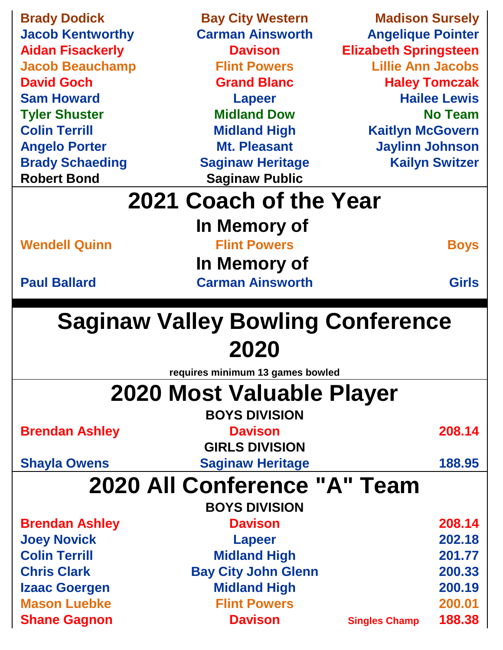| <b>Brady Dodick</b>                        | <b>Bay City Western</b>                  | <b>Madison Sursely</b>       |                       |
|--------------------------------------------|------------------------------------------|------------------------------|-----------------------|
| <b>Jacob Kentworthy</b>                    | <b>Carman Ainsworth</b>                  | <b>Angelique Pointer</b>     |                       |
| <b>Aidan Fisackerly</b>                    | <b>Davison</b>                           | <b>Elizabeth Springsteen</b> |                       |
| <b>Jacob Beauchamp</b>                     | <b>Flint Powers</b>                      | <b>Lillie Ann Jacobs</b>     |                       |
| <b>David Goch</b>                          | <b>Grand Blanc</b>                       |                              | <b>Haley Tomczak</b>  |
| <b>Sam Howard</b>                          | <b>Lapeer</b>                            |                              | <b>Hailee Lewis</b>   |
| <b>Tyler Shuster</b>                       | <b>Midland Dow</b>                       |                              | <b>No Team</b>        |
| <b>Colin Terrill</b>                       | <b>Midland High</b>                      | <b>Kaitlyn McGovern</b>      |                       |
| <b>Angelo Porter</b>                       | <b>Mt. Pleasant</b>                      | <b>Jaylinn Johnson</b>       |                       |
| <b>Brady Schaeding</b>                     | <b>Saginaw Heritage</b>                  |                              | <b>Kailyn Switzer</b> |
| <b>Robert Bond</b>                         | <b>Saginaw Public</b>                    |                              |                       |
|                                            | 2021 Coach of the Year                   |                              |                       |
|                                            |                                          |                              |                       |
|                                            | In Memory of                             |                              |                       |
| <b>Wendell Quinn</b>                       | <b>Flint Powers</b>                      |                              | <b>Boys</b>           |
|                                            | In Memory of                             |                              |                       |
| <b>Paul Ballard</b>                        | <b>Carman Ainsworth</b>                  |                              | <b>Girls</b>          |
|                                            |                                          |                              |                       |
|                                            |                                          |                              |                       |
|                                            |                                          |                              |                       |
|                                            | <b>Saginaw Valley Bowling Conference</b> |                              |                       |
|                                            | 2020                                     |                              |                       |
|                                            | requires minimum 13 games bowled         |                              |                       |
|                                            |                                          |                              |                       |
|                                            | <b>2020 Most Valuable Player</b>         |                              |                       |
|                                            | <b>BOYS DIVISION</b>                     |                              |                       |
| <b>Brendan Ashley</b>                      | <b>Davison</b>                           |                              | 208.14                |
|                                            | <b>GIRLS DIVISION</b>                    |                              |                       |
| <b>Shayla Owens</b>                        | <b>Saginaw Heritage</b>                  |                              | 188.95                |
|                                            | 2020 All Conference "A" Team             |                              |                       |
|                                            | <b>BOYS DIVISION</b>                     |                              |                       |
| <b>Brendan Ashley</b>                      | <b>Davison</b>                           |                              | 208.14                |
| <b>Joey Novick</b>                         | <b>Lapeer</b>                            |                              | 202.18                |
| <b>Colin Terrill</b>                       | <b>Midland High</b>                      |                              | 201.77                |
| <b>Chris Clark</b>                         | <b>Bay City John Glenn</b>               |                              | 200.33                |
| <b>Izaac Goergen</b>                       | <b>Midland High</b>                      |                              | 200.19                |
| <b>Mason Luebke</b><br><b>Shane Gagnon</b> | <b>Flint Powers</b><br><b>Davison</b>    |                              | 200.01<br>188.38      |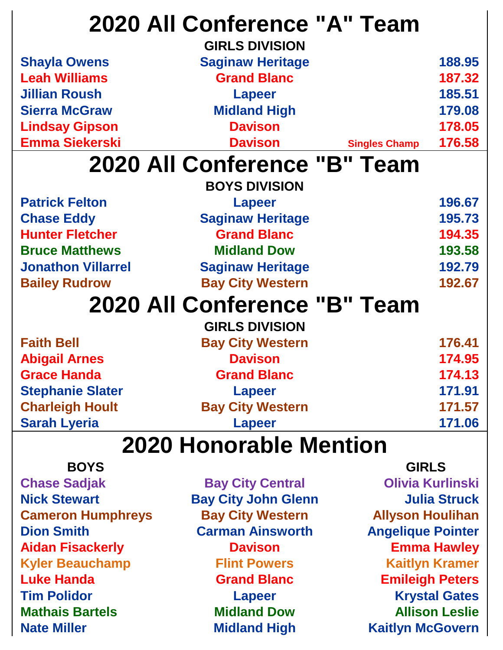|                           | 2020 All Conference "A" Team<br><b>GIRLS DIVISION</b> |                      |        |
|---------------------------|-------------------------------------------------------|----------------------|--------|
| <b>Shayla Owens</b>       | <b>Saginaw Heritage</b>                               |                      | 188.95 |
| <b>Leah Williams</b>      | <b>Grand Blanc</b>                                    |                      | 187.32 |
| <b>Jillian Roush</b>      | <b>Lapeer</b>                                         |                      | 185.51 |
| <b>Sierra McGraw</b>      | <b>Midland High</b>                                   |                      | 179.08 |
| <b>Lindsay Gipson</b>     | <b>Davison</b>                                        |                      | 178.05 |
| <b>Emma Siekerski</b>     | <b>Davison</b>                                        | <b>Singles Champ</b> | 176.58 |
|                           | 2020 All Conference "B" Team                          |                      |        |
|                           | <b>BOYS DIVISION</b>                                  |                      |        |
| <b>Patrick Felton</b>     | <b>Lapeer</b>                                         |                      | 196.67 |
| <b>Chase Eddy</b>         | <b>Saginaw Heritage</b>                               |                      | 195.73 |
| <b>Hunter Fletcher</b>    | <b>Grand Blanc</b>                                    |                      | 194.35 |
| <b>Bruce Matthews</b>     | <b>Midland Dow</b>                                    |                      | 193.58 |
| <b>Jonathon Villarrel</b> | <b>Saginaw Heritage</b>                               |                      | 192.79 |
| <b>Bailey Rudrow</b>      | <b>Bay City Western</b>                               |                      | 192.67 |
|                           | 2020 All Conference "B" Team                          |                      |        |
|                           | <b>GIRLS DIVISION</b>                                 |                      |        |
| <b>Faith Bell</b>         | <b>Bay City Western</b>                               |                      | 176.41 |
| <b>Abigail Arnes</b>      | <b>Davison</b>                                        |                      | 174.95 |
| <b>Grace Handa</b>        | <b>Grand Blanc</b>                                    |                      | 174.13 |
| <b>Stephanie Slater</b>   | <b>Lapeer</b>                                         |                      | 171.91 |
| <b>Charleigh Hoult</b>    | <b>Bay City Western</b>                               |                      | 171.57 |
| <b>Sarah Lyeria</b>       | <b>Lapeer</b>                                         |                      | 171.06 |
|                           | 2020 Honorable Mention                                |                      |        |

**BOYS** GIRLS **Chase Sadjak Bay City Central Olivia Kurlinski Nick Stewart Bay City John Glenn Julia Struck Cameron Humphreys Bay City Western Allyson Houlihan Dion Smith Carman Ainsworth Angelique Pointer Aidan Fisackerly Davison Emma Hawley Kyler Beauchamp Flint Powers Kaitlyn Kramer Luke Handa Grand Blanc Emileigh Peters Tim Polidor <b>Contract Contract Contract Contract Contract Contract Contract Contract Contract Contract Contract Contract Contract Contract Contract Contract Contract Contract Contract Contract Contract Contract Contract C Mathais Bartels Midland Dow Allison Leslie**

**Nate Miller Midland High Kaitlyn McGovern**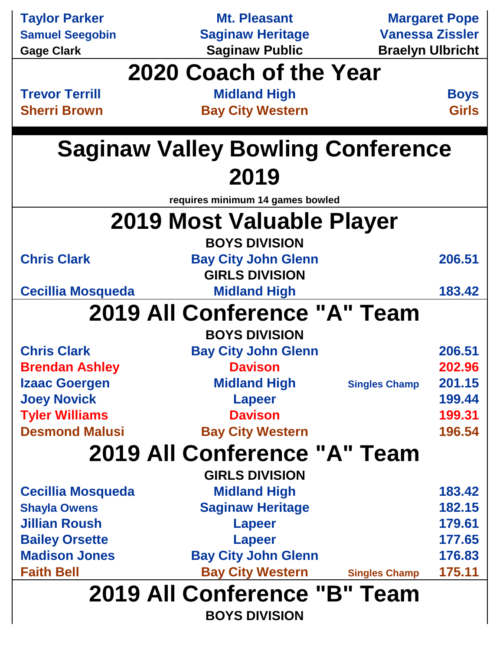| <b>Taylor Parker</b>     | <b>Mt. Pleasant</b>                                  |                         | <b>Margaret Pope</b>        |
|--------------------------|------------------------------------------------------|-------------------------|-----------------------------|
| <b>Samuel Seegobin</b>   | <b>Saginaw Heritage</b>                              | <b>Vanessa Zissler</b>  |                             |
| <b>Gage Clark</b>        | <b>Saginaw Public</b>                                | <b>Braelyn Ulbricht</b> |                             |
|                          | 2020 Coach of the Year                               |                         |                             |
| <b>Trevor Terrill</b>    |                                                      |                         |                             |
| <b>Sherri Brown</b>      | <b>Midland High</b><br><b>Bay City Western</b>       |                         | <b>Boys</b><br><b>Girls</b> |
|                          |                                                      |                         |                             |
|                          | <b>Saginaw Valley Bowling Conference</b>             |                         |                             |
|                          | 2019                                                 |                         |                             |
|                          | requires minimum 14 games bowled                     |                         |                             |
|                          |                                                      |                         |                             |
|                          | 2019 Most Valuable Player                            |                         |                             |
|                          | <b>BOYS DIVISION</b>                                 |                         |                             |
| <b>Chris Clark</b>       | <b>Bay City John Glenn</b>                           |                         | 206.51                      |
|                          | <b>GIRLS DIVISION</b>                                |                         |                             |
| <b>Cecillia Mosqueda</b> | <b>Midland High</b>                                  |                         | 183.42                      |
|                          | 2019 All Conference "A" Team                         |                         |                             |
|                          | <b>BOYS DIVISION</b>                                 |                         |                             |
| <b>Chris Clark</b>       | <b>Bay City John Glenn</b>                           |                         | 206.51                      |
| <b>Brendan Ashley</b>    | <b>Davison</b>                                       |                         | 202.96                      |
| <b>Izaac Goergen</b>     | <b>Midland High</b>                                  | <b>Singles Champ</b>    | 201.15                      |
| <b>Joey Novick</b>       | <b>Lapeer</b>                                        |                         | 199.44                      |
| <b>Tyler Williams</b>    | <b>Davison</b>                                       |                         | 199.31                      |
| <b>Desmond Malusi</b>    | <b>Bay City Western</b>                              |                         | 196.54                      |
|                          | 2019 All Conference "A" Team                         |                         |                             |
|                          | <b>GIRLS DIVISION</b>                                |                         |                             |
| <b>Cecillia Mosqueda</b> | <b>Midland High</b>                                  |                         | 183.42                      |
| <b>Shayla Owens</b>      | <b>Saginaw Heritage</b>                              |                         | 182.15                      |
| <b>Jillian Roush</b>     | <b>Lapeer</b>                                        |                         | 179.61                      |
| <b>Bailey Orsette</b>    | <b>Lapeer</b>                                        |                         | 177.65                      |
| <b>Madison Jones</b>     | <b>Bay City John Glenn</b>                           |                         | 176.83                      |
| <b>Faith Bell</b>        | <b>Bay City Western</b>                              | <b>Singles Champ</b>    | 175.11                      |
|                          | 2019 All Conference "B" Team<br><b>BOYS DIVISION</b> |                         |                             |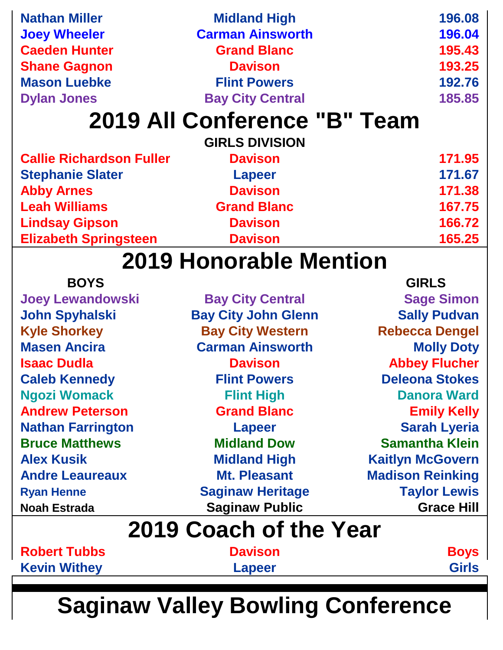| <b>Nathan Miller</b>            | <b>Midland High</b>           | 196.08                  |
|---------------------------------|-------------------------------|-------------------------|
| <b>Joey Wheeler</b>             | <b>Carman Ainsworth</b>       | 196.04                  |
| <b>Caeden Hunter</b>            | <b>Grand Blanc</b>            | 195.43                  |
| <b>Shane Gagnon</b>             | <b>Davison</b>                | 193.25                  |
| <b>Mason Luebke</b>             | <b>Flint Powers</b>           | 192.76                  |
| <b>Dylan Jones</b>              | <b>Bay City Central</b>       | 185.85                  |
|                                 | 2019 All Conference "B" Team  |                         |
|                                 | <b>GIRLS DIVISION</b>         |                         |
| <b>Callie Richardson Fuller</b> | <b>Davison</b>                | 171.95                  |
| <b>Stephanie Slater</b>         | <b>Lapeer</b>                 | 171.67                  |
| <b>Abby Arnes</b>               | <b>Davison</b>                | 171.38                  |
| <b>Leah Williams</b>            | <b>Grand Blanc</b>            | 167.75                  |
| <b>Lindsay Gipson</b>           | <b>Davison</b>                | 166.72                  |
| <b>Elizabeth Springsteen</b>    | <b>Davison</b>                | 165.25                  |
|                                 | <b>2019 Honorable Mention</b> |                         |
| <b>BOYS</b>                     |                               | <b>GIRLS</b>            |
| <b>Joey Lewandowski</b>         | <b>Bay City Central</b>       | <b>Sage Simon</b>       |
| <b>John Spyhalski</b>           | <b>Bay City John Glenn</b>    | <b>Sally Pudvan</b>     |
| <b>Kyle Shorkey</b>             | <b>Bay City Western</b>       | <b>Rebecca Dengel</b>   |
| <b>Masen Ancira</b>             | <b>Carman Ainsworth</b>       | <b>Molly Doty</b>       |
| <b>Isaac Dudla</b>              | <b>Davison</b>                | <b>Abbey Flucher</b>    |
| <b>Caleb Kennedy</b>            | <b>Flint Powers</b>           | <b>Deleona Stokes</b>   |
| <b>Ngozi Womack</b>             | <b>Flint High</b>             | <b>Danora Ward</b>      |
| <b>Andrew Peterson</b>          | <b>Grand Blanc</b>            | <b>Emily Kelly</b>      |
| <b>Nathan Farrington</b>        | <b>Lapeer</b>                 | <b>Sarah Lyeria</b>     |
| <b>Bruce Matthews</b>           | <b>Midland Dow</b>            | <b>Samantha Klein</b>   |
| <b>Alex Kusik</b>               | <b>Midland High</b>           | <b>Kaitlyn McGovern</b> |
| <b>Andre Leaureaux</b>          | <b>Mt. Pleasant</b>           | <b>Madison Reinking</b> |
| <b>Ryan Henne</b>               | <b>Saginaw Heritage</b>       | <b>Taylor Lewis</b>     |
| <b>Noah Estrada</b>             | <b>Saginaw Public</b>         | <b>Grace Hill</b>       |
|                                 | 2019 Coach of the Year        |                         |
| <b>Robert Tubbs</b>             | <b>Davison</b>                | <b>Boys</b>             |
| <b>Kevin Withey</b>             | <b>Lapeer</b>                 | <b>Girls</b>            |
|                                 |                               |                         |

**Saginaw Valley Bowling Conference**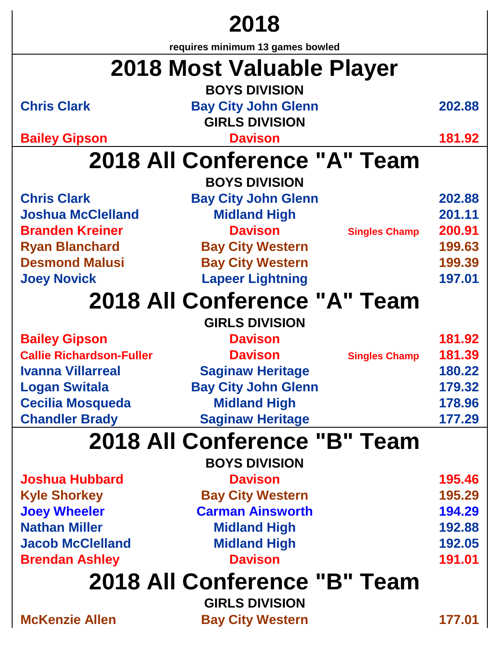# **2018**

**requires minimum 13 games bowled**

|                                 | requires minimum 13 games bowled |                      |        |
|---------------------------------|----------------------------------|----------------------|--------|
|                                 | 2018 Most Valuable Player        |                      |        |
|                                 | <b>BOYS DIVISION</b>             |                      |        |
| <b>Chris Clark</b>              | <b>Bay City John Glenn</b>       |                      | 202.88 |
|                                 | <b>GIRLS DIVISION</b>            |                      |        |
| <b>Bailey Gipson</b>            | <b>Davison</b>                   |                      | 181.92 |
|                                 | 2018 All Conference "A" Team     |                      |        |
|                                 | <b>BOYS DIVISION</b>             |                      |        |
| <b>Chris Clark</b>              | <b>Bay City John Glenn</b>       |                      | 202.88 |
| <b>Joshua McClelland</b>        | <b>Midland High</b>              |                      | 201.11 |
| <b>Branden Kreiner</b>          | <b>Davison</b>                   | <b>Singles Champ</b> | 200.91 |
| <b>Ryan Blanchard</b>           | <b>Bay City Western</b>          |                      | 199.63 |
| <b>Desmond Malusi</b>           | <b>Bay City Western</b>          |                      | 199.39 |
| <b>Joey Novick</b>              | <b>Lapeer Lightning</b>          |                      | 197.01 |
|                                 | 2018 All Conference "A" Team     |                      |        |
|                                 | <b>GIRLS DIVISION</b>            |                      |        |
| <b>Bailey Gipson</b>            | <b>Davison</b>                   |                      | 181.92 |
| <b>Callie Richardson-Fuller</b> | <b>Davison</b>                   | <b>Singles Champ</b> | 181.39 |
| <b>Ivanna Villarreal</b>        | <b>Saginaw Heritage</b>          |                      | 180.22 |
| <b>Logan Switala</b>            | <b>Bay City John Glenn</b>       |                      | 179.32 |
| <b>Cecilia Mosqueda</b>         | <b>Midland High</b>              |                      | 178.96 |
| <b>Chandler Brady</b>           | <b>Saginaw Heritage</b>          |                      | 177.29 |
|                                 | 2018 All Conference "B" Team     |                      |        |
|                                 | <b>BOYS DIVISION</b>             |                      |        |
| <b>Joshua Hubbard</b>           | <b>Davison</b>                   |                      | 195.46 |
| <b>Kyle Shorkey</b>             | <b>Bay City Western</b>          |                      | 195.29 |
| <b>Joey Wheeler</b>             | <b>Carman Ainsworth</b>          |                      | 194.29 |
| <b>Nathan Miller</b>            | <b>Midland High</b>              |                      | 192.88 |
| <b>Jacob McClelland</b>         | <b>Midland High</b>              |                      | 192.05 |
| <b>Brendan Ashley</b>           | <b>Davison</b>                   |                      | 191.01 |
|                                 | 2018 All Conference "B" Team     |                      |        |
|                                 | <b>GIRLS DIVISION</b>            |                      |        |
| <b>McKenzie Allen</b>           | <b>Bay City Western</b>          |                      | 177.01 |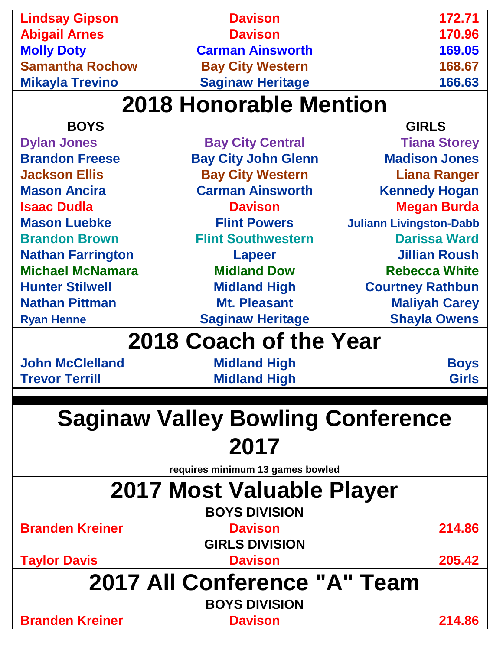| <b>Molly Doty</b><br><b>Carman Ainsworth</b><br><b>Samantha Rochow</b><br><b>Bay City Western</b><br><b>Saginaw Heritage</b><br><b>Mikayla Trevino</b> | 169.05<br>168.67<br>166.63 |
|--------------------------------------------------------------------------------------------------------------------------------------------------------|----------------------------|
|                                                                                                                                                        |                            |
|                                                                                                                                                        |                            |
|                                                                                                                                                        |                            |
| <b>Abigail Arnes</b><br><b>Davison</b>                                                                                                                 | 170.96                     |
| <b>Lindsay Gipson</b><br><b>Davison</b>                                                                                                                | 172.71                     |

| <b>BOYS</b>                              |                                  | <b>GIRLS</b>                   |  |  |  |
|------------------------------------------|----------------------------------|--------------------------------|--|--|--|
| <b>Dylan Jones</b>                       | <b>Bay City Central</b>          | <b>Tiana Storey</b>            |  |  |  |
| <b>Brandon Freese</b>                    | <b>Bay City John Glenn</b>       | <b>Madison Jones</b>           |  |  |  |
| <b>Jackson Ellis</b>                     | <b>Bay City Western</b>          | <b>Liana Ranger</b>            |  |  |  |
| <b>Mason Ancira</b>                      | <b>Carman Ainsworth</b>          | <b>Kennedy Hogan</b>           |  |  |  |
| <b>Isaac Dudla</b>                       | <b>Davison</b>                   | <b>Megan Burda</b>             |  |  |  |
| <b>Mason Luebke</b>                      | <b>Flint Powers</b>              | <b>Juliann Livingston-Dabb</b> |  |  |  |
| <b>Brandon Brown</b>                     | <b>Flint Southwestern</b>        | <b>Darissa Ward</b>            |  |  |  |
| <b>Nathan Farrington</b>                 | <b>Lapeer</b>                    | <b>Jillian Roush</b>           |  |  |  |
| <b>Michael McNamara</b>                  | <b>Midland Dow</b>               | <b>Rebecca White</b>           |  |  |  |
| <b>Hunter Stilwell</b>                   | <b>Midland High</b>              | <b>Courtney Rathbun</b>        |  |  |  |
| <b>Nathan Pittman</b>                    | <b>Mt. Pleasant</b>              | <b>Maliyah Carey</b>           |  |  |  |
| <b>Ryan Henne</b>                        | <b>Saginaw Heritage</b>          | <b>Shayla Owens</b>            |  |  |  |
|                                          | 2018 Coach of the Year           |                                |  |  |  |
| <b>John McClelland</b>                   | <b>Midland High</b>              | <b>Boys</b>                    |  |  |  |
| <b>Trevor Terrill</b>                    | <b>Midland High</b>              | <b>Girls</b>                   |  |  |  |
|                                          |                                  |                                |  |  |  |
| <b>Saginaw Valley Bowling Conference</b> |                                  |                                |  |  |  |
| 2017                                     |                                  |                                |  |  |  |
|                                          | requires minimum 13 games bowled |                                |  |  |  |
|                                          |                                  |                                |  |  |  |
|                                          | 2017 Most Valuable Player        |                                |  |  |  |
|                                          | <b>BOYS DIVISION</b>             |                                |  |  |  |
| <b>Branden Kreiner</b>                   | <b>Davison</b>                   | 214.86                         |  |  |  |
|                                          | <b>GIRLS DIVISION</b>            |                                |  |  |  |
| <b>Taylor Davis</b>                      | <b>Davison</b>                   | 205.42                         |  |  |  |
|                                          | 2017 All Conference "A" Team     |                                |  |  |  |

## **BOYS DIVISION**

**Branden Kreiner Davison 214.86**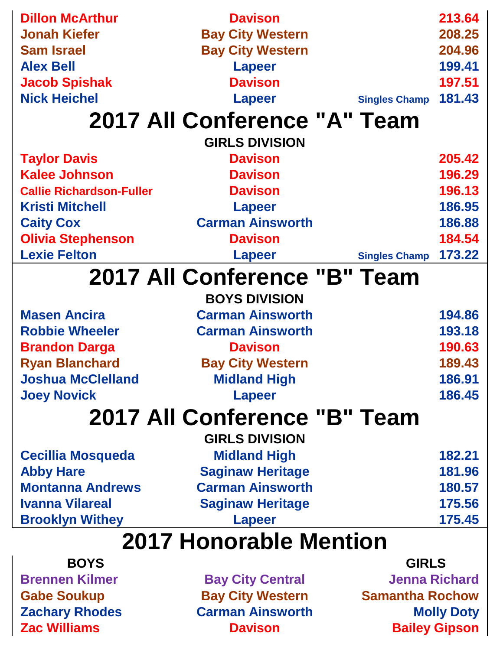| <b>Dillon McArthur</b>          | <b>Davison</b>               |                        | 213.64               |  |
|---------------------------------|------------------------------|------------------------|----------------------|--|
|                                 |                              |                        |                      |  |
| <b>Jonah Kiefer</b>             | <b>Bay City Western</b>      |                        | 208.25               |  |
| <b>Sam Israel</b>               | <b>Bay City Western</b>      |                        | 204.96               |  |
| <b>Alex Bell</b>                | <b>Lapeer</b>                |                        | 199.41               |  |
| <b>Jacob Spishak</b>            | <b>Davison</b>               |                        | 197.51               |  |
| <b>Nick Heichel</b>             | <b>Lapeer</b>                | <b>Singles Champ</b>   | 181.43               |  |
|                                 | 2017 All Conference "A" Team |                        |                      |  |
|                                 | <b>GIRLS DIVISION</b>        |                        |                      |  |
| <b>Taylor Davis</b>             | <b>Davison</b>               |                        | 205.42               |  |
| <b>Kalee Johnson</b>            | <b>Davison</b>               |                        | 196.29               |  |
| <b>Callie Richardson-Fuller</b> | <b>Davison</b>               |                        | 196.13               |  |
| <b>Kristi Mitchell</b>          | <b>Lapeer</b>                |                        | 186.95               |  |
| <b>Caity Cox</b>                | <b>Carman Ainsworth</b>      |                        | 186.88               |  |
| <b>Olivia Stephenson</b>        | <b>Davison</b>               |                        | 184.54               |  |
| <b>Lexie Felton</b>             | <b>Lapeer</b>                | <b>Singles Champ</b>   | 173.22               |  |
|                                 | 2017 All Conference "B" Team |                        |                      |  |
|                                 |                              |                        |                      |  |
|                                 | <b>BOYS DIVISION</b>         |                        |                      |  |
| <b>Masen Ancira</b>             | <b>Carman Ainsworth</b>      |                        | 194.86               |  |
| <b>Robbie Wheeler</b>           | <b>Carman Ainsworth</b>      |                        | 193.18               |  |
| <b>Brandon Darga</b>            | <b>Davison</b>               |                        | 190.63               |  |
| <b>Ryan Blanchard</b>           | <b>Bay City Western</b>      |                        | 189.43               |  |
| Joshua McClelland               | <b>Midland High</b>          |                        | 186.91               |  |
| <b>Joey Novick</b>              | <b>Lapeer</b>                |                        | 186.45               |  |
|                                 | 2017 All Conference "B" Team |                        |                      |  |
|                                 | <b>GIRLS DIVISION</b>        |                        |                      |  |
| <b>Cecillia Mosqueda</b>        | <b>Midland High</b>          |                        | 182.21               |  |
| <b>Abby Hare</b>                | <b>Saginaw Heritage</b>      |                        | 181.96               |  |
| <b>Montanna Andrews</b>         | <b>Carman Ainsworth</b>      |                        | 180.57               |  |
| <b>Ivanna Vilareal</b>          | <b>Saginaw Heritage</b>      |                        | 175.56               |  |
| <b>Brooklyn Withey</b>          | <b>Lapeer</b>                |                        | 175.45               |  |
|                                 |                              |                        |                      |  |
| <b>2017 Honorable Mention</b>   |                              |                        |                      |  |
| <b>BOYS</b>                     |                              | <b>GIRLS</b>           |                      |  |
| <b>Brennen Kilmer</b>           | <b>Bay City Central</b>      |                        | <b>Jenna Richard</b> |  |
| <b>Gabe Soukup</b>              | <b>Bay City Western</b>      | <b>Samantha Rochow</b> |                      |  |

**Zachary Rhodes Carman Ainsworth Carman Ainsworth Molly Doty**<br> **Zac Williams Davison Bailey Gipson Davison Bailey Gipson**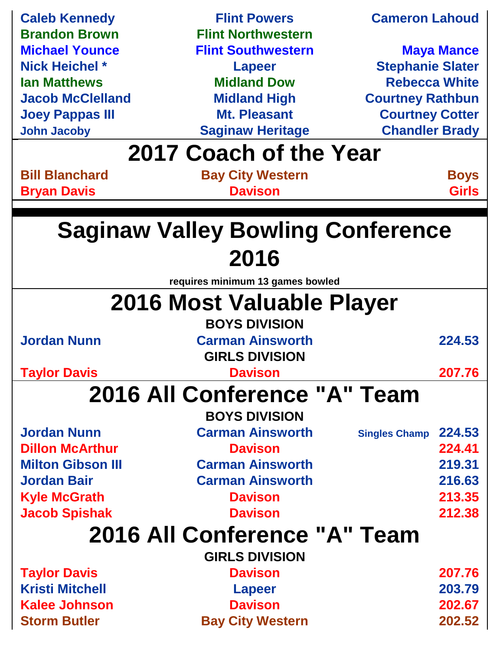| <b>Caleb Kennedy</b>         | <b>Flint Powers</b>                      | <b>Cameron Lahoud</b>          |  |
|------------------------------|------------------------------------------|--------------------------------|--|
| <b>Brandon Brown</b>         | <b>Flint Northwestern</b>                |                                |  |
| <b>Michael Younce</b>        | <b>Flint Southwestern</b>                | <b>Maya Mance</b>              |  |
| <b>Nick Heichel *</b>        | <b>Lapeer</b>                            | <b>Stephanie Slater</b>        |  |
| <b>Ian Matthews</b>          | <b>Midland Dow</b>                       | <b>Rebecca White</b>           |  |
| <b>Jacob McClelland</b>      | <b>Midland High</b>                      | <b>Courtney Rathbun</b>        |  |
| <b>Joey Pappas III</b>       | <b>Mt. Pleasant</b>                      | <b>Courtney Cotter</b>         |  |
| <b>John Jacoby</b>           | <b>Saginaw Heritage</b>                  | <b>Chandler Brady</b>          |  |
|                              | 2017 Coach of the Year                   |                                |  |
| <b>Bill Blanchard</b>        | <b>Bay City Western</b>                  | <b>Boys</b>                    |  |
| <b>Bryan Davis</b>           | <b>Davison</b>                           | <b>Girls</b>                   |  |
|                              |                                          |                                |  |
|                              | <b>Saginaw Valley Bowling Conference</b> |                                |  |
|                              | 2016                                     |                                |  |
|                              | requires minimum 13 games bowled         |                                |  |
|                              | 2016 Most Valuable Player                |                                |  |
|                              | <b>BOYS DIVISION</b>                     |                                |  |
| <b>Jordan Nunn</b>           | <b>Carman Ainsworth</b>                  | 224.53                         |  |
|                              | <b>GIRLS DIVISION</b>                    |                                |  |
| <b>Taylor Davis</b>          | <b>Davison</b>                           | 207.76                         |  |
|                              |                                          |                                |  |
| 2016 All Conference "A" Team |                                          |                                |  |
|                              | <b>BOYS DIVISION</b>                     |                                |  |
| <b>Jordan Nunn</b>           | <b>Carman Ainsworth</b>                  | 224.53<br><b>Singles Champ</b> |  |
| <b>Dillon McArthur</b>       | <b>Davison</b>                           | 224.41                         |  |
| <b>Milton Gibson III</b>     | <b>Carman Ainsworth</b>                  | 219.31                         |  |
| <b>Jordan Bair</b>           | <b>Carman Ainsworth</b>                  | 216.63                         |  |
| <b>Kyle McGrath</b>          | <b>Davison</b>                           | 213.35                         |  |
| <b>Jacob Spishak</b>         | <b>Davison</b>                           | 212.38                         |  |
| 2016 All Conference "A" Team |                                          |                                |  |
|                              | <b>GIRLS DIVISION</b>                    |                                |  |
| <b>Taylor Davis</b>          | <b>Davison</b>                           | 207.76                         |  |
| <b>Kristi Mitchell</b>       | <b>Lapeer</b>                            | 203.79                         |  |
| <b>Kalee Johnson</b>         | <b>Davison</b>                           | 202.67                         |  |
| <b>Storm Butler</b>          | <b>Bay City Western</b>                  | 202.52                         |  |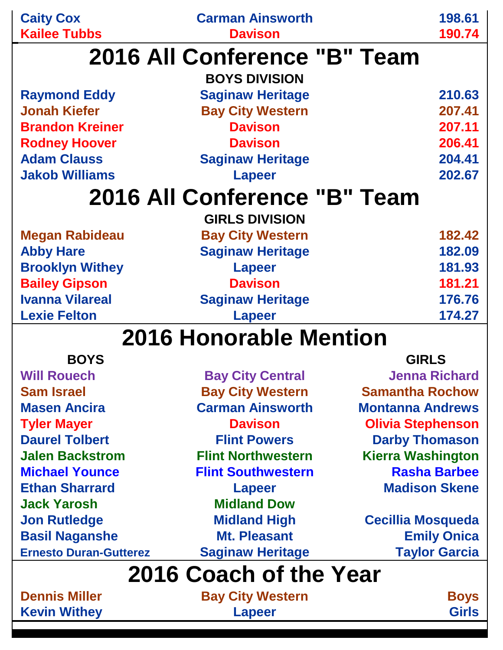| <b>Caity Cox</b>                           | <b>Carman Ainsworth</b>       | 198.61                   |
|--------------------------------------------|-------------------------------|--------------------------|
| <b>Kailee Tubbs</b>                        | <b>Davison</b>                | 190.74                   |
|                                            | 2016 All Conference "B" Team  |                          |
|                                            | <b>BOYS DIVISION</b>          |                          |
|                                            |                               | 210.63                   |
| <b>Raymond Eddy</b><br><b>Jonah Kiefer</b> | <b>Saginaw Heritage</b>       |                          |
|                                            | <b>Bay City Western</b>       | 207.41                   |
| <b>Brandon Kreiner</b>                     | <b>Davison</b>                | 207.11                   |
| <b>Rodney Hoover</b>                       | <b>Davison</b>                | 206.41                   |
| <b>Adam Clauss</b>                         | <b>Saginaw Heritage</b>       | 204.41                   |
| <b>Jakob Williams</b>                      | <b>Lapeer</b>                 | 202.67                   |
|                                            | 2016 All Conference "B" Team  |                          |
|                                            | <b>GIRLS DIVISION</b>         |                          |
| <b>Megan Rabideau</b>                      | <b>Bay City Western</b>       | 182.42                   |
| <b>Abby Hare</b>                           | <b>Saginaw Heritage</b>       | 182.09                   |
| <b>Brooklyn Withey</b>                     | <b>Lapeer</b>                 | 181.93                   |
| <b>Bailey Gipson</b>                       | <b>Davison</b>                | 181.21                   |
| <b>Ivanna Vilareal</b>                     | <b>Saginaw Heritage</b>       | 176.76                   |
| <b>Lexie Felton</b>                        | <b>Lapeer</b>                 | 174.27                   |
|                                            | <b>2016 Honorable Mention</b> |                          |
| <b>BOYS</b>                                |                               | <b>GIRLS</b>             |
|                                            |                               | <b>Jenna Richard</b>     |
| <b>Will Rouech</b>                         | <b>Bay City Central</b>       |                          |
| <b>Sam Israel</b>                          | <b>Bay City Western</b>       | <b>Samantha Rochow</b>   |
| <b>Masen Ancira</b>                        | <b>Carman Ainsworth</b>       | <b>Montanna Andrews</b>  |
| <b>Tyler Mayer</b>                         | <b>Davison</b>                | <b>Olivia Stephenson</b> |
| <b>Daurel Tolbert</b>                      | <b>Flint Powers</b>           | <b>Darby Thomason</b>    |
| <b>Jalen Backstrom</b>                     | <b>Flint Northwestern</b>     | <b>Kierra Washington</b> |
| <b>Michael Younce</b>                      | <b>Flint Southwestern</b>     | <b>Rasha Barbee</b>      |
| <b>Ethan Sharrard</b>                      | <b>Lapeer</b>                 | <b>Madison Skene</b>     |

**Jon Rutledge Midland High Cecillia Mosqueda Basil Naganshe Mt. Pleasant Emily Onica Ernesto Duran-Gutterez Saginaw Heritage Taylor Garcia**

### **2016 Coach of the Year**

**Jack Yarosh Midland Dow**

**Dennis Miller Bay City Western Boys Kevin Withey <b>Capear Lapeer Girls**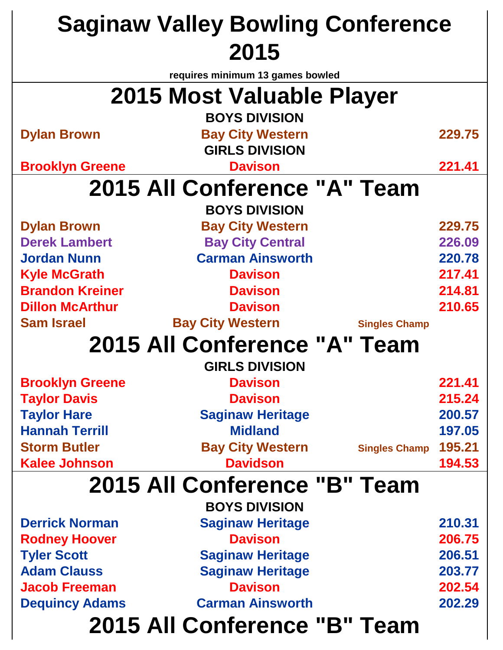| <b>Saginaw Valley Bowling Conference</b> |                                  |                      |        |
|------------------------------------------|----------------------------------|----------------------|--------|
|                                          | 2015                             |                      |        |
|                                          | requires minimum 13 games bowled |                      |        |
|                                          | 2015 Most Valuable Player        |                      |        |
|                                          | <b>BOYS DIVISION</b>             |                      |        |
| <b>Dylan Brown</b>                       | <b>Bay City Western</b>          |                      | 229.75 |
|                                          | <b>GIRLS DIVISION</b>            |                      |        |
| <b>Brooklyn Greene</b>                   | <b>Davison</b>                   |                      | 221.41 |
|                                          | 2015 All Conference "A" Team     |                      |        |
|                                          | <b>BOYS DIVISION</b>             |                      |        |
| <b>Dylan Brown</b>                       | <b>Bay City Western</b>          |                      | 229.75 |
| <b>Derek Lambert</b>                     | <b>Bay City Central</b>          |                      | 226.09 |
| <b>Jordan Nunn</b>                       | <b>Carman Ainsworth</b>          |                      | 220.78 |
| <b>Kyle McGrath</b>                      | <b>Davison</b>                   |                      | 217.41 |
| <b>Brandon Kreiner</b>                   | <b>Davison</b>                   |                      | 214.81 |
| <b>Dillon McArthur</b>                   | <b>Davison</b>                   |                      | 210.65 |
| <b>Sam Israel</b>                        | <b>Bay City Western</b>          | <b>Singles Champ</b> |        |
|                                          | 2015 All Conference "A" Team     |                      |        |
|                                          | <b>GIRLS DIVISION</b>            |                      |        |
| <b>Brooklyn Greene</b>                   | <b>Davison</b>                   |                      | 221.41 |
| <b>Taylor Davis</b>                      | <b>Davison</b>                   |                      | 215.24 |
| <b>Taylor Hare</b>                       | <b>Saginaw Heritage</b>          |                      | 200.57 |
| <b>Hannah Terrill</b>                    | <b>Midland</b>                   |                      | 197.05 |
| <b>Storm Butler</b>                      | <b>Bay City Western</b>          | <b>Singles Champ</b> | 195.21 |
| <b>Kalee Johnson</b>                     | <b>Davidson</b>                  |                      | 194.53 |
|                                          | 2015 All Conference "B" Team     |                      |        |
|                                          | <b>BOYS DIVISION</b>             |                      |        |
| <b>Derrick Norman</b>                    | <b>Saginaw Heritage</b>          |                      | 210.31 |
| <b>Rodney Hoover</b>                     | <b>Davison</b>                   |                      | 206.75 |
| <b>Tyler Scott</b>                       | <b>Saginaw Heritage</b>          |                      | 206.51 |
| <b>Adam Clauss</b>                       | <b>Saginaw Heritage</b>          |                      | 203.77 |
| <b>Jacob Freeman</b>                     | <b>Davison</b>                   |                      | 202.54 |
| <b>Dequincy Adams</b>                    | <b>Carman Ainsworth</b>          |                      | 202.29 |
| 2015 All Conference "B" Team             |                                  |                      |        |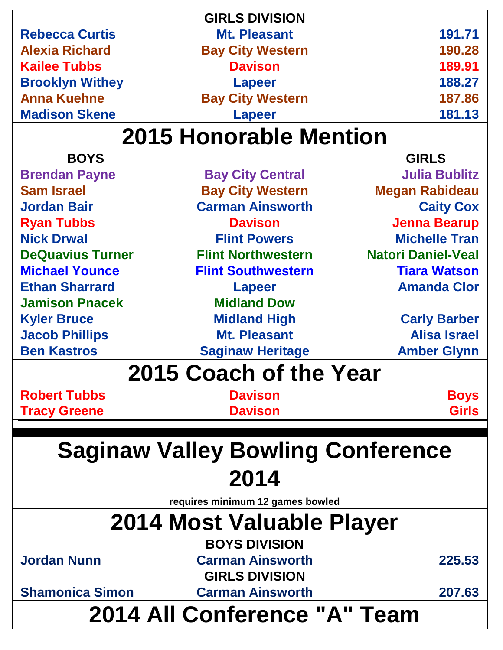|                        | <b>GIRLS DIVISION</b>   |        |
|------------------------|-------------------------|--------|
| <b>Rebecca Curtis</b>  | <b>Mt. Pleasant</b>     | 191.71 |
| <b>Alexia Richard</b>  | <b>Bay City Western</b> | 190.28 |
| <b>Kailee Tubbs</b>    | <b>Davison</b>          | 189.91 |
| <b>Brooklyn Withey</b> | <b>Lapeer</b>           | 188.27 |
| <b>Anna Kuehne</b>     | <b>Bay City Western</b> | 187.86 |
| <b>Madison Skene</b>   | <b>Lapeer</b>           | 181.13 |
|                        |                         |        |

| 2014 All Conference "A" Team                |                                            |                           |  |  |
|---------------------------------------------|--------------------------------------------|---------------------------|--|--|
| <b>Shamonica Simon</b>                      | <b>Carman Ainsworth</b>                    | 207.63                    |  |  |
|                                             | <b>GIRLS DIVISION</b>                      |                           |  |  |
| <b>Jordan Nunn</b>                          | <b>Carman Ainsworth</b>                    | 225.53                    |  |  |
|                                             | <b>BOYS DIVISION</b>                       |                           |  |  |
| 2014 Most Valuable Player                   |                                            |                           |  |  |
|                                             | requires minimum 12 games bowled           |                           |  |  |
|                                             |                                            |                           |  |  |
| 2014                                        |                                            |                           |  |  |
| <b>Saginaw Valley Bowling Conference</b>    |                                            |                           |  |  |
|                                             |                                            |                           |  |  |
| <b>Tracy Greene</b>                         | <b>Davison</b>                             | <b>Girls</b>              |  |  |
| <b>Robert Tubbs</b>                         | <b>Davison</b>                             | <b>Boys</b>               |  |  |
|                                             | 2015 Coach of the Year                     |                           |  |  |
|                                             |                                            | <b>Amber Glynn</b>        |  |  |
| <b>Jacob Phillips</b><br><b>Ben Kastros</b> | <b>Saginaw Heritage</b>                    | <b>Alisa Israel</b>       |  |  |
| <b>Kyler Bruce</b>                          | <b>Midland High</b><br><b>Mt. Pleasant</b> | <b>Carly Barber</b>       |  |  |
| <b>Jamison Pnacek</b>                       | <b>Midland Dow</b>                         |                           |  |  |
| <b>Ethan Sharrard</b>                       | <b>Lapeer</b>                              | <b>Amanda Clor</b>        |  |  |
| <b>Michael Younce</b>                       | <b>Flint Southwestern</b>                  | <b>Tiara Watson</b>       |  |  |
| <b>DeQuavius Turner</b>                     | <b>Flint Northwestern</b>                  | <b>Natori Daniel-Veal</b> |  |  |
| <b>Nick Drwal</b>                           | <b>Flint Powers</b>                        | <b>Michelle Tran</b>      |  |  |
| <b>Ryan Tubbs</b>                           | <b>Davison</b>                             | <b>Jenna Bearup</b>       |  |  |
| <b>Jordan Bair</b>                          | <b>Carman Ainsworth</b>                    | <b>Caity Cox</b>          |  |  |
| <b>Sam Israel</b>                           | <b>Bay City Western</b>                    | <b>Megan Rabideau</b>     |  |  |
| <b>Brendan Payne</b>                        | <b>Bay City Central</b>                    | <b>Julia Bublitz</b>      |  |  |
| <b>BOYS</b>                                 |                                            | <b>GIRLS</b>              |  |  |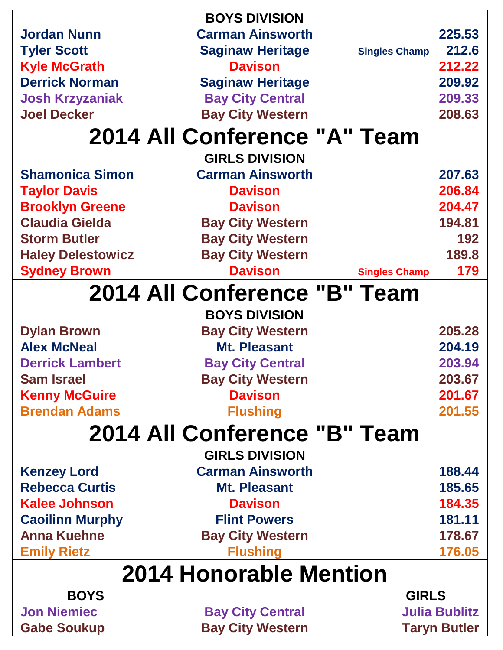| <b>BOYS</b>              |                              | <b>GIRLS</b>         |        |
|--------------------------|------------------------------|----------------------|--------|
| 2014 Honorable Mention   |                              |                      |        |
| <b>Emily Rietz</b>       | <b>Flushing</b>              |                      | 176.05 |
| <b>Anna Kuehne</b>       | <b>Bay City Western</b>      |                      | 178.67 |
| <b>Caoilinn Murphy</b>   | <b>Flint Powers</b>          |                      | 181.11 |
| <b>Kalee Johnson</b>     | <b>Davison</b>               |                      | 184.35 |
| <b>Rebecca Curtis</b>    | <b>Mt. Pleasant</b>          |                      | 185.65 |
| <b>Kenzey Lord</b>       | <b>Carman Ainsworth</b>      |                      | 188.44 |
|                          | <b>GIRLS DIVISION</b>        |                      |        |
|                          | 2014 All Conference "B" Team |                      |        |
| <b>Brendan Adams</b>     | <b>Flushing</b>              |                      | 201.55 |
| <b>Kenny McGuire</b>     | <b>Davison</b>               |                      | 201.67 |
| <b>Sam Israel</b>        | <b>Bay City Western</b>      |                      | 203.67 |
| <b>Derrick Lambert</b>   | <b>Bay City Central</b>      |                      | 203.94 |
| <b>Alex McNeal</b>       | <b>Mt. Pleasant</b>          |                      | 204.19 |
| <b>Dylan Brown</b>       | <b>Bay City Western</b>      |                      | 205.28 |
|                          | <b>BOYS DIVISION</b>         |                      |        |
|                          | 2014 All Conference "B" Team |                      |        |
| <b>Sydney Brown</b>      | <b>Davison</b>               | <b>Singles Champ</b> | 179    |
| <b>Haley Delestowicz</b> | <b>Bay City Western</b>      |                      | 189.8  |
| <b>Storm Butler</b>      | <b>Bay City Western</b>      |                      | 192    |
| <b>Claudia Gielda</b>    | <b>Bay City Western</b>      |                      | 194.81 |
| <b>Brooklyn Greene</b>   | <b>Davison</b>               |                      | 204.47 |
| <b>Taylor Davis</b>      | <b>Davison</b>               |                      | 206.84 |
| <b>Shamonica Simon</b>   | <b>Carman Ainsworth</b>      |                      | 207.63 |
|                          | <b>GIRLS DIVISION</b>        |                      |        |
|                          | 2014 All Conference "A" Team |                      |        |
| <b>Joel Decker</b>       | <b>Bay City Western</b>      |                      | 208.63 |
| <b>Josh Krzyzaniak</b>   | <b>Bay City Central</b>      |                      | 209.33 |
| <b>Derrick Norman</b>    | <b>Saginaw Heritage</b>      |                      | 209.92 |
| <b>Kyle McGrath</b>      | <b>Davison</b>               |                      | 212.22 |
| <b>Tyler Scott</b>       | <b>Saginaw Heritage</b>      | <b>Singles Champ</b> | 212.6  |
| <b>Jordan Nunn</b>       | <b>Carman Ainsworth</b>      |                      | 225.53 |
|                          | <b>BOYS DIVISION</b>         |                      |        |

**Jon Niemiec May City Central Manus Cabe Soukup Cabe Soukup Cabe Soukup Case City Western Accord Taryn Butler Bay City Western Taryn Butler**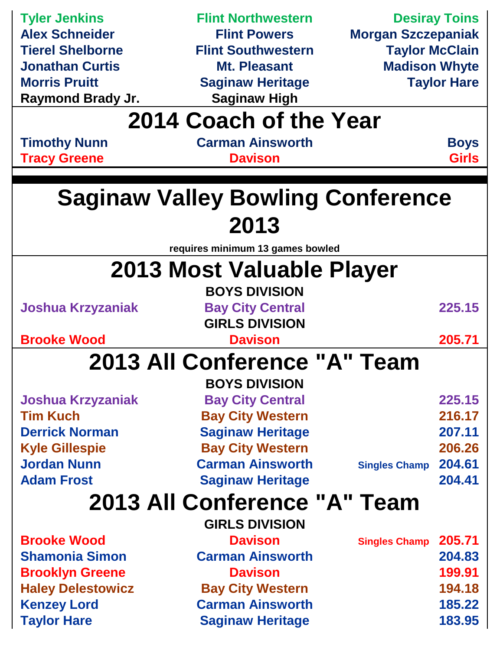| <b>Tyler Jenkins</b>     | <b>Flint Northwestern</b>                |                           | <b>Desiray Toins</b> |
|--------------------------|------------------------------------------|---------------------------|----------------------|
| <b>Alex Schneider</b>    | <b>Flint Powers</b>                      | <b>Morgan Szczepaniak</b> |                      |
| <b>Tierel Shelborne</b>  | <b>Flint Southwestern</b>                | <b>Taylor McClain</b>     |                      |
| <b>Jonathan Curtis</b>   | <b>Mt. Pleasant</b>                      | <b>Madison Whyte</b>      |                      |
| <b>Morris Pruitt</b>     | <b>Saginaw Heritage</b>                  |                           | <b>Taylor Hare</b>   |
| Raymond Brady Jr.        | <b>Saginaw High</b>                      |                           |                      |
|                          | 2014 Coach of the Year                   |                           |                      |
| <b>Timothy Nunn</b>      | <b>Carman Ainsworth</b>                  |                           | <b>Boys</b>          |
| <b>Tracy Greene</b>      | <b>Davison</b>                           |                           | <b>Girls</b>         |
|                          |                                          |                           |                      |
|                          | <b>Saginaw Valley Bowling Conference</b> |                           |                      |
|                          | 2013                                     |                           |                      |
|                          |                                          |                           |                      |
|                          | requires minimum 13 games bowled         |                           |                      |
|                          | <b>2013 Most Valuable Player</b>         |                           |                      |
|                          | <b>BOYS DIVISION</b>                     |                           |                      |
| Joshua Krzyzaniak        | <b>Bay City Central</b>                  |                           | 225.15               |
|                          | <b>GIRLS DIVISION</b>                    |                           |                      |
| <b>Brooke Wood</b>       | <b>Davison</b>                           |                           | 205.71               |
|                          | 2013 All Conference "A" Team             |                           |                      |
|                          | <b>BOYS DIVISION</b>                     |                           |                      |
| <b>Joshua Krzyzaniak</b> | <b>Bay City Central</b>                  |                           | 225.15               |
| <b>Tim Kuch</b>          | <b>Bay City Western</b>                  |                           | 216.17               |
| <b>Derrick Norman</b>    | <b>Saginaw Heritage</b>                  |                           | 207.11               |
| <b>Kyle Gillespie</b>    | <b>Bay City Western</b>                  |                           | 206.26               |
| <b>Jordan Nunn</b>       | <b>Carman Ainsworth</b>                  | <b>Singles Champ</b>      | 204.61               |
| <b>Adam Frost</b>        | <b>Saginaw Heritage</b>                  |                           | 204.41               |
|                          | 2013 All Conference "A" Team             |                           |                      |
|                          | <b>GIRLS DIVISION</b>                    |                           |                      |
| <b>Brooke Wood</b>       | <b>Davison</b>                           | <b>Singles Champ</b>      | 205.71               |
| <b>Shamonia Simon</b>    | <b>Carman Ainsworth</b>                  |                           | 204.83               |
| <b>Brooklyn Greene</b>   | <b>Davison</b>                           |                           | 199.91               |
| <b>Haley Delestowicz</b> | <b>Bay City Western</b>                  |                           | 194.18               |
| <b>Kenzey Lord</b>       | <b>Carman Ainsworth</b>                  |                           | 185.22               |
| <b>Taylor Hare</b>       | <b>Saginaw Heritage</b>                  |                           | 183.95               |
|                          |                                          |                           |                      |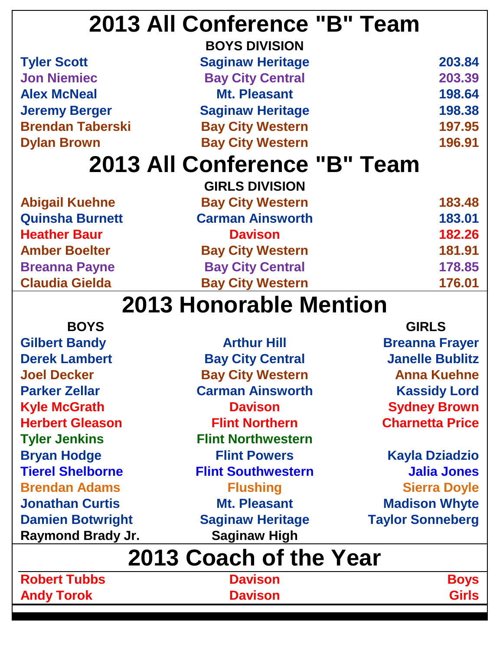| 2013 All Conference "B" Team |        |
|------------------------------|--------|
| <b>BOYS DIVISION</b>         |        |
| <b>Saginaw Heritage</b>      | 203.84 |
| <b>Bay City Central</b>      | 203.39 |
| Mt. Pleasant                 | 198.64 |
| <b>Saginaw Heritage</b>      | 198.38 |
| <b>Bay City Western</b>      | 197.95 |
| <b>Bay City Western</b>      | 196.91 |
| 2013 All Conference "B" Team |        |
| <b>GIRLS DIVISION</b>        |        |
| <b>Bay City Western</b>      | 183.48 |
| <b>Carman Ainsworth</b>      | 183.01 |
| <b>Davison</b>               | 182.26 |
| <b>Bay City Western</b>      | 181.91 |
| <b>Bay City Central</b>      | 178.85 |
| <b>Bay City Western</b>      | 176.01 |
|                              |        |

| <b>BOYS</b>              |                           | <b>GIRLS</b>            |
|--------------------------|---------------------------|-------------------------|
| <b>Gilbert Bandy</b>     | <b>Arthur Hill</b>        | <b>Breanna Frayer</b>   |
| <b>Derek Lambert</b>     | <b>Bay City Central</b>   | <b>Janelle Bublitz</b>  |
| <b>Joel Decker</b>       | <b>Bay City Western</b>   | <b>Anna Kuehne</b>      |
| <b>Parker Zellar</b>     | <b>Carman Ainsworth</b>   | <b>Kassidy Lord</b>     |
| <b>Kyle McGrath</b>      | <b>Davison</b>            | <b>Sydney Brown</b>     |
| <b>Herbert Gleason</b>   | <b>Flint Northern</b>     | <b>Charnetta Price</b>  |
| <b>Tyler Jenkins</b>     | <b>Flint Northwestern</b> |                         |
| <b>Bryan Hodge</b>       | <b>Flint Powers</b>       | <b>Kayla Dziadzio</b>   |
| <b>Tierel Shelborne</b>  | <b>Flint Southwestern</b> | <b>Jalia Jones</b>      |
| <b>Brendan Adams</b>     | <b>Flushing</b>           | <b>Sierra Doyle</b>     |
| <b>Jonathan Curtis</b>   | <b>Mt. Pleasant</b>       | <b>Madison Whyte</b>    |
| <b>Damien Botwright</b>  | <b>Saginaw Heritage</b>   | <b>Taylor Sonneberg</b> |
| <b>Raymond Brady Jr.</b> | <b>Saginaw High</b>       |                         |
|                          | 2013 Coach of the Year    |                         |
| <b>Robert Tubbs</b>      | <b>Davison</b>            | <b>Boys</b>             |
| <b>Andy Torok</b>        | <b>Davison</b>            | <b>Girls</b>            |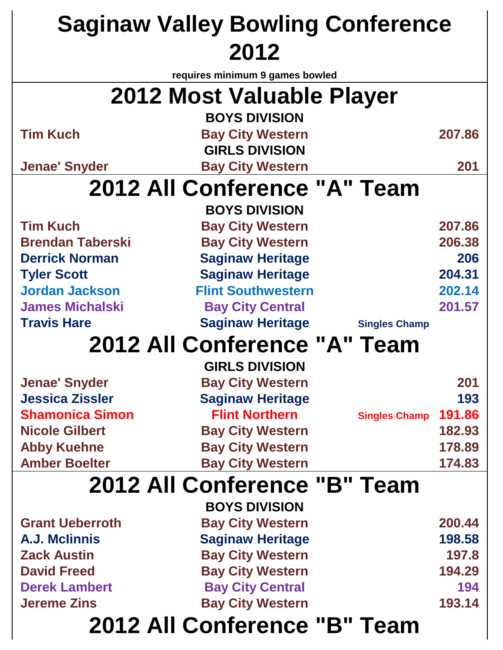| <b>Saginaw Valley Bowling Conference</b> |                                 |                      |        |  |
|------------------------------------------|---------------------------------|----------------------|--------|--|
|                                          | 2012                            |                      |        |  |
|                                          | requires minimum 9 games bowled |                      |        |  |
|                                          | 2012 Most Valuable Player       |                      |        |  |
|                                          | <b>BOYS DIVISION</b>            |                      |        |  |
| <b>Tim Kuch</b>                          | <b>Bay City Western</b>         |                      | 207.86 |  |
|                                          | <b>GIRLS DIVISION</b>           |                      |        |  |
| <b>Jenae' Snyder</b>                     | <b>Bay City Western</b>         |                      | 201    |  |
|                                          | 2012 All Conference "A" Team    |                      |        |  |
|                                          | <b>BOYS DIVISION</b>            |                      |        |  |
| <b>Tim Kuch</b>                          | <b>Bay City Western</b>         |                      | 207.86 |  |
| <b>Brendan Taberski</b>                  | <b>Bay City Western</b>         |                      | 206.38 |  |
| <b>Derrick Norman</b>                    | <b>Saginaw Heritage</b>         |                      | 206    |  |
| <b>Tyler Scott</b>                       | <b>Saginaw Heritage</b>         |                      | 204.31 |  |
| <b>Jordan Jackson</b>                    | <b>Flint Southwestern</b>       |                      | 202.14 |  |
| <b>James Michalski</b>                   | <b>Bay City Central</b>         |                      | 201.57 |  |
| <b>Travis Hare</b>                       | <b>Saginaw Heritage</b>         | <b>Singles Champ</b> |        |  |
|                                          | 2012 All Conference "A" Team    |                      |        |  |
|                                          | <b>GIRLS DIVISION</b>           |                      |        |  |
| <b>Jenae' Snyder</b>                     | <b>Bay City Western</b>         |                      | 201    |  |
| <b>Jessica Zissler</b>                   | <b>Saginaw Heritage</b>         |                      | 193    |  |
| <b>Shamonica Simon</b>                   | <b>Flint Northern</b>           | <b>Singles Champ</b> | 191.86 |  |
| <b>Nicole Gilbert</b>                    | <b>Bay City Western</b>         |                      | 182.93 |  |
| <b>Abby Kuehne</b>                       | <b>Bay City Western</b>         |                      | 178.89 |  |
| <b>Amber Boelter</b>                     | <b>Bay City Western</b>         |                      | 174.83 |  |
|                                          | 2012 All Conference "B" Team    |                      |        |  |
|                                          | <b>BOYS DIVISION</b>            |                      |        |  |
| <b>Grant Ueberroth</b>                   | <b>Bay City Western</b>         |                      | 200.44 |  |
| A.J. Mclinnis                            | <b>Saginaw Heritage</b>         |                      | 198.58 |  |
| <b>Zack Austin</b>                       | <b>Bay City Western</b>         |                      | 197.8  |  |
| <b>David Freed</b>                       | <b>Bay City Western</b>         |                      | 194.29 |  |
| <b>Derek Lambert</b>                     | <b>Bay City Central</b>         |                      | 194    |  |
| <b>Jereme Zins</b>                       | <b>Bay City Western</b>         |                      | 193.14 |  |
| 2012 All Conference "B" Team             |                                 |                      |        |  |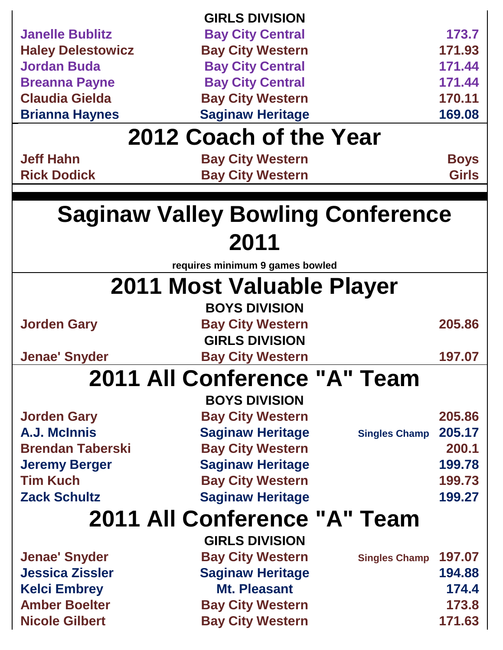|                                 | <b>GIRLS DIVISION</b>                    |                                |  |
|---------------------------------|------------------------------------------|--------------------------------|--|
| <b>Janelle Bublitz</b>          | <b>Bay City Central</b>                  | 173.7                          |  |
| <b>Haley Delestowicz</b>        | <b>Bay City Western</b>                  | 171.93                         |  |
| <b>Jordan Buda</b>              | <b>Bay City Central</b>                  | 171.44                         |  |
| <b>Breanna Payne</b>            | <b>Bay City Central</b>                  | 171.44                         |  |
| <b>Claudia Gielda</b>           | <b>Bay City Western</b>                  | 170.11                         |  |
| <b>Brianna Haynes</b>           | <b>Saginaw Heritage</b>                  | 169.08                         |  |
|                                 | 2012 Coach of the Year                   |                                |  |
| <b>Jeff Hahn</b>                | <b>Bay City Western</b>                  | <b>Boys</b>                    |  |
| <b>Rick Dodick</b>              | <b>Bay City Western</b>                  | <b>Girls</b>                   |  |
|                                 | <b>Saginaw Valley Bowling Conference</b> |                                |  |
|                                 | 2011                                     |                                |  |
| requires minimum 9 games bowled |                                          |                                |  |
|                                 | 2011 Most Valuable Player                |                                |  |
|                                 | <b>BOYS DIVISION</b>                     |                                |  |
| <b>Jorden Gary</b>              | <b>Bay City Western</b>                  | 205.86                         |  |
|                                 | <b>GIRLS DIVISION</b>                    |                                |  |
| <b>Jenae' Snyder</b>            | <b>Bay City Western</b>                  | 197.07                         |  |
|                                 | 2011 All Conference "A" Team             |                                |  |
|                                 | <b>BOYS DIVISION</b>                     |                                |  |
| <b>Jorden Gary</b>              | <b>Bay City Western</b>                  | 205.86                         |  |
| A.J. McInnis                    | <b>Saginaw Heritage</b>                  | 205.17<br><b>Singles Champ</b> |  |
| <b>Brendan Taberski</b>         | <b>Bay City Western</b>                  | 200.1                          |  |
| <b>Jeremy Berger</b>            | <b>Saginaw Heritage</b>                  | 199.78                         |  |
| <b>Tim Kuch</b>                 | <b>Bay City Western</b>                  | 199.73                         |  |
| <b>Zack Schultz</b>             | <b>Saginaw Heritage</b>                  | 199.27                         |  |
| 2011 All Conference "A" Team    |                                          |                                |  |
|                                 | <b>GIRLS DIVISION</b>                    |                                |  |
| <b>Jenae' Snyder</b>            | <b>Bay City Western</b>                  | 197.07<br><b>Singles Champ</b> |  |
| <b>Jessica Zissler</b>          | <b>Saginaw Heritage</b>                  | 194.88                         |  |
| <b>Kelci Embrey</b>             | <b>Mt. Pleasant</b>                      | 174.4                          |  |
| <b>Amber Boelter</b>            | <b>Bay City Western</b>                  | 173.8                          |  |
| <b>Nicole Gilbert</b>           | <b>Bay City Western</b>                  | 171.63                         |  |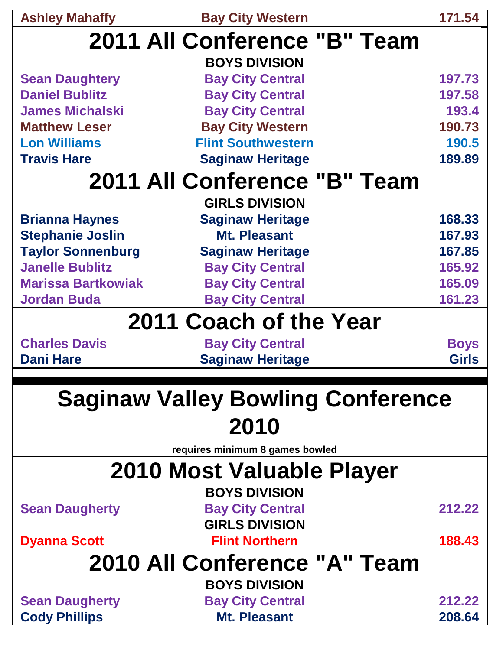| <b>Ashley Mahaffy</b>                    | <b>Bay City Western</b>         | 171.54       |  |  |
|------------------------------------------|---------------------------------|--------------|--|--|
| 2011 All Conference "B" Team             |                                 |              |  |  |
|                                          | <b>BOYS DIVISION</b>            |              |  |  |
| <b>Sean Daughtery</b>                    | <b>Bay City Central</b>         | 197.73       |  |  |
| <b>Daniel Bublitz</b>                    | <b>Bay City Central</b>         | 197.58       |  |  |
| <b>James Michalski</b>                   | <b>Bay City Central</b>         | 193.4        |  |  |
| <b>Matthew Leser</b>                     | <b>Bay City Western</b>         | 190.73       |  |  |
| <b>Lon Williams</b>                      | <b>Flint Southwestern</b>       | 190.5        |  |  |
| <b>Travis Hare</b>                       | <b>Saginaw Heritage</b>         | 189.89       |  |  |
|                                          | 2011 All Conference "B" Team    |              |  |  |
|                                          | <b>GIRLS DIVISION</b>           |              |  |  |
| <b>Brianna Haynes</b>                    | <b>Saginaw Heritage</b>         | 168.33       |  |  |
| <b>Stephanie Joslin</b>                  | <b>Mt. Pleasant</b>             | 167.93       |  |  |
| <b>Taylor Sonnenburg</b>                 | <b>Saginaw Heritage</b>         | 167.85       |  |  |
| <b>Janelle Bublitz</b>                   | <b>Bay City Central</b>         | 165.92       |  |  |
| <b>Marissa Bartkowiak</b>                | <b>Bay City Central</b>         | 165.09       |  |  |
| <b>Jordan Buda</b>                       | <b>Bay City Central</b>         | 161.23       |  |  |
|                                          | 2011 Coach of the Year          |              |  |  |
| <b>Charles Davis</b>                     | <b>Bay City Central</b>         | <b>Boys</b>  |  |  |
| <b>Dani Hare</b>                         | <b>Saginaw Heritage</b>         | <b>Girls</b> |  |  |
|                                          |                                 |              |  |  |
| <b>Saginaw Valley Bowling Conference</b> |                                 |              |  |  |
|                                          | 2010                            |              |  |  |
|                                          |                                 |              |  |  |
|                                          | requires minimum 8 games bowled |              |  |  |
| 2010 Most Valuable Player                |                                 |              |  |  |
|                                          | <b>BOYS DIVISION</b>            |              |  |  |
| <b>Sean Daugherty</b>                    | <b>Bay City Central</b>         | 212.22       |  |  |
|                                          | <b>GIRLS DIVISION</b>           |              |  |  |
| <b>Dyanna Scott</b>                      | <b>Flint Northern</b>           | 188.43       |  |  |
| 2010 All Conference "A" Team             |                                 |              |  |  |
|                                          | <b>BOYS DIVISION</b>            |              |  |  |
| <b>Sean Daugherty</b>                    | <b>Bay City Central</b>         | 212.22       |  |  |
| <b>Cody Phillips</b>                     | <b>Mt. Pleasant</b>             | 208.64       |  |  |
|                                          |                                 |              |  |  |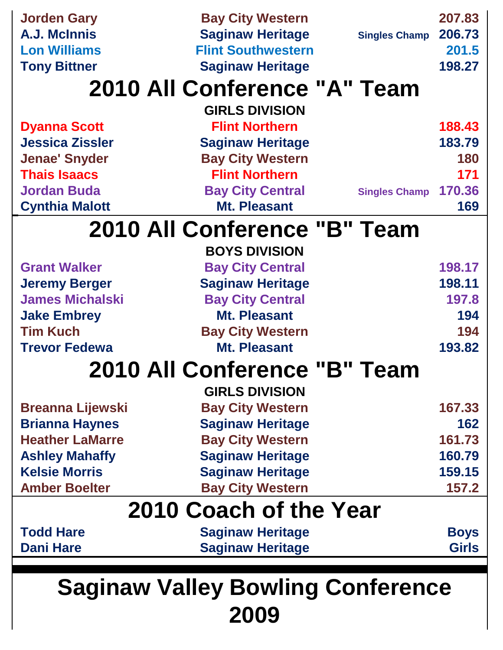| <b>Jorden Gary</b>                       | <b>Bay City Western</b>      |                      | 207.83       |
|------------------------------------------|------------------------------|----------------------|--------------|
| A.J. McInnis                             | <b>Saginaw Heritage</b>      | <b>Singles Champ</b> | 206.73       |
| <b>Lon Williams</b>                      | <b>Flint Southwestern</b>    |                      | 201.5        |
| <b>Tony Bittner</b>                      | <b>Saginaw Heritage</b>      |                      | 198.27       |
|                                          | 2010 All Conference "A" Team |                      |              |
|                                          | <b>GIRLS DIVISION</b>        |                      |              |
| <b>Dyanna Scott</b>                      | <b>Flint Northern</b>        |                      | 188.43       |
| <b>Jessica Zissler</b>                   | <b>Saginaw Heritage</b>      |                      | 183.79       |
| <b>Jenae' Snyder</b>                     | <b>Bay City Western</b>      |                      | 180          |
| <b>Thais Isaacs</b>                      | <b>Flint Northern</b>        |                      | 171          |
| <b>Jordan Buda</b>                       | <b>Bay City Central</b>      | <b>Singles Champ</b> | 170.36       |
| <b>Cynthia Malott</b>                    | <b>Mt. Pleasant</b>          |                      | 169          |
|                                          | 2010 All Conference "B" Team |                      |              |
|                                          | <b>BOYS DIVISION</b>         |                      |              |
| <b>Grant Walker</b>                      | <b>Bay City Central</b>      |                      | 198.17       |
| <b>Jeremy Berger</b>                     | <b>Saginaw Heritage</b>      |                      | 198.11       |
| <b>James Michalski</b>                   | <b>Bay City Central</b>      |                      | 197.8        |
| <b>Jake Embrey</b>                       | <b>Mt. Pleasant</b>          |                      | 194          |
| <b>Tim Kuch</b>                          | <b>Bay City Western</b>      |                      | 194          |
| <b>Trevor Fedewa</b>                     | <b>Mt. Pleasant</b>          |                      | 193.82       |
|                                          | 2010 All Conference "B" Team |                      |              |
|                                          | <b>GIRLS DIVISION</b>        |                      |              |
| <b>Breanna Lijewski</b>                  | <b>Bay City Western</b>      |                      | 167.33       |
| <b>Brianna Haynes</b>                    | <b>Saginaw Heritage</b>      |                      | 162          |
| <b>Heather LaMarre</b>                   | <b>Bay City Western</b>      |                      | 161.73       |
| <b>Ashley Mahaffy</b>                    | <b>Saginaw Heritage</b>      |                      | 160.79       |
| <b>Kelsie Morris</b>                     | <b>Saginaw Heritage</b>      |                      | 159.15       |
| <b>Amber Boelter</b>                     | <b>Bay City Western</b>      |                      | 157.2        |
| 2010 Coach of the Year                   |                              |                      |              |
| <b>Todd Hare</b>                         | <b>Saginaw Heritage</b>      |                      | <b>Boys</b>  |
| <b>Dani Hare</b>                         | <b>Saginaw Heritage</b>      |                      | <b>Girls</b> |
|                                          |                              |                      |              |
| <b>Saginaw Valley Bowling Conference</b> |                              |                      |              |

**2009**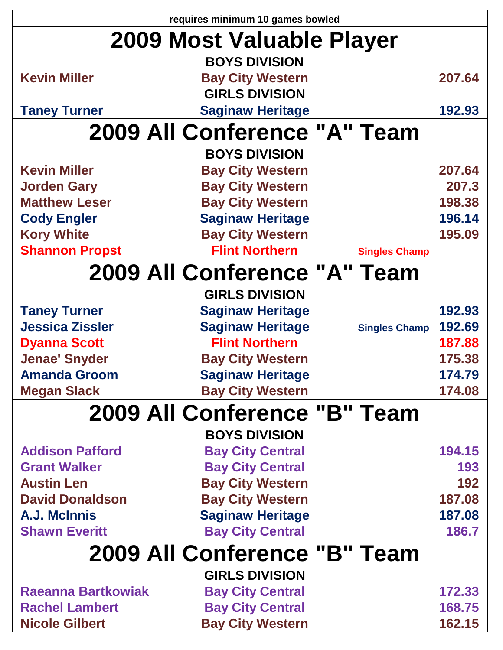| requires minimum 10 games bowled |                                                 |        |  |
|----------------------------------|-------------------------------------------------|--------|--|
| 2009 Most Valuable Player        |                                                 |        |  |
|                                  | <b>BOYS DIVISION</b>                            |        |  |
| <b>Kevin Miller</b>              | <b>Bay City Western</b>                         | 207.64 |  |
|                                  | <b>GIRLS DIVISION</b>                           |        |  |
| <b>Taney Turner</b>              | <b>Saginaw Heritage</b>                         | 192.93 |  |
|                                  | 2009 All Conference "A" Team                    |        |  |
|                                  | <b>BOYS DIVISION</b>                            |        |  |
| <b>Kevin Miller</b>              | <b>Bay City Western</b>                         | 207.64 |  |
| <b>Jorden Gary</b>               | <b>Bay City Western</b>                         | 207.3  |  |
| <b>Matthew Leser</b>             | <b>Bay City Western</b>                         | 198.38 |  |
| <b>Cody Engler</b>               | <b>Saginaw Heritage</b>                         | 196.14 |  |
| <b>Kory White</b>                | <b>Bay City Western</b>                         | 195.09 |  |
| <b>Shannon Propst</b>            | <b>Flint Northern</b><br><b>Singles Champ</b>   |        |  |
|                                  | 2009 All Conference "A" Team                    |        |  |
|                                  | <b>GIRLS DIVISION</b>                           |        |  |
| <b>Taney Turner</b>              | <b>Saginaw Heritage</b>                         | 192.93 |  |
| <b>Jessica Zissler</b>           | <b>Saginaw Heritage</b><br><b>Singles Champ</b> | 192.69 |  |
| <b>Dyanna Scott</b>              | <b>Flint Northern</b>                           | 187.88 |  |
| <b>Jenae' Snyder</b>             | <b>Bay City Western</b>                         | 175.38 |  |
| <b>Amanda Groom</b>              | <b>Saginaw Heritage</b>                         | 174.79 |  |
| <b>Megan Slack</b>               | <b>Bay City Western</b>                         | 174.08 |  |
| 2009 All Conference "B" Team     |                                                 |        |  |
|                                  | <b>BOYS DIVISION</b>                            |        |  |
| <b>Addison Pafford</b>           | <b>Bay City Central</b>                         | 194.15 |  |
| <b>Grant Walker</b>              | <b>Bay City Central</b>                         | 193    |  |
| <b>Austin Len</b>                | <b>Bay City Western</b>                         | 192    |  |
| <b>David Donaldson</b>           | <b>Bay City Western</b>                         | 187.08 |  |
| A.J. McInnis                     | <b>Saginaw Heritage</b>                         | 187.08 |  |
| <b>Shawn Everitt</b>             | <b>Bay City Central</b>                         | 186.7  |  |
| 2009 All Conference "B" Team     |                                                 |        |  |
|                                  | <b>GIRLS DIVISION</b>                           |        |  |
| <b>Raeanna Bartkowiak</b>        | <b>Bay City Central</b>                         | 172.33 |  |
| <b>Rachel Lambert</b>            | <b>Bay City Central</b>                         | 168.75 |  |
| <b>Nicole Gilbert</b>            | <b>Bay City Western</b>                         | 162.15 |  |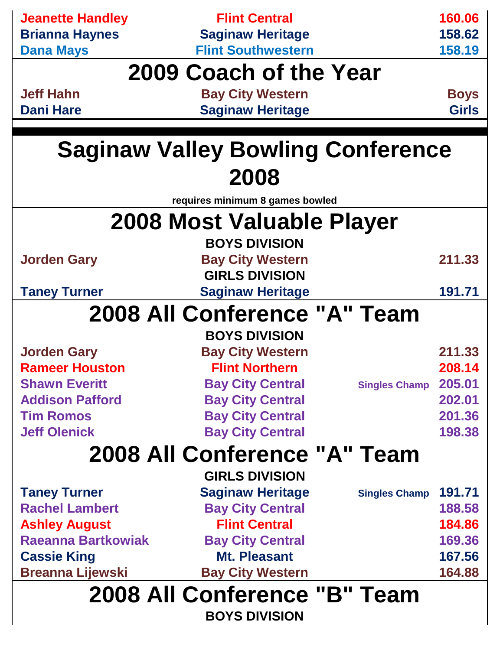| <b>Jeanette Handley</b>      | <b>Flint Central</b>                     |                      | 160.06       |
|------------------------------|------------------------------------------|----------------------|--------------|
| <b>Brianna Haynes</b>        | <b>Saginaw Heritage</b>                  |                      | 158.62       |
| <b>Dana Mays</b>             | <b>Flint Southwestern</b>                |                      | 158.19       |
|                              | 2009 Coach of the Year                   |                      |              |
| <b>Jeff Hahn</b>             | <b>Bay City Western</b>                  |                      | <b>Boys</b>  |
| <b>Dani Hare</b>             | <b>Saginaw Heritage</b>                  |                      | <b>Girls</b> |
|                              |                                          |                      |              |
|                              | <b>Saginaw Valley Bowling Conference</b> |                      |              |
|                              | 2008                                     |                      |              |
|                              | requires minimum 8 games bowled          |                      |              |
|                              | 2008 Most Valuable Player                |                      |              |
|                              | <b>BOYS DIVISION</b>                     |                      |              |
| <b>Jorden Gary</b>           | <b>Bay City Western</b>                  |                      | 211.33       |
|                              | <b>GIRLS DIVISION</b>                    |                      |              |
| <b>Taney Turner</b>          | <b>Saginaw Heritage</b>                  |                      | 191.71       |
|                              | 2008 All Conference "A" Team             |                      |              |
|                              | <b>BOYS DIVISION</b>                     |                      |              |
| <b>Jorden Gary</b>           | <b>Bay City Western</b>                  |                      | 211.33       |
| <b>Rameer Houston</b>        | <b>Flint Northern</b>                    |                      | 208.14       |
| <b>Shawn Everitt</b>         | <b>Bay City Central</b>                  | <b>Singles Champ</b> | 205.01       |
| <b>Addison Pafford</b>       | <b>Bay City Central</b>                  |                      | 202.01       |
| <b>Tim Romos</b>             | <b>Bay City Central</b>                  |                      | 201.36       |
| <b>Jeff Olenick</b>          | <b>Bay City Central</b>                  |                      | 198.38       |
| 2008 All Conference "A" Team |                                          |                      |              |
|                              | <b>GIRLS DIVISION</b>                    |                      |              |
| <b>Taney Turner</b>          | <b>Saginaw Heritage</b>                  | <b>Singles Champ</b> | 191.71       |
| <b>Rachel Lambert</b>        | <b>Bay City Central</b>                  |                      | 188.58       |
| <b>Ashley August</b>         | <b>Flint Central</b>                     |                      | 184.86       |
| <b>Raeanna Bartkowiak</b>    | <b>Bay City Central</b>                  |                      | 169.36       |
| <b>Cassie King</b>           | <b>Mt. Pleasant</b>                      |                      | 167.56       |
| <b>Breanna Lijewski</b>      | <b>Bay City Western</b>                  |                      | 164.88       |
| 2008 All Conference "B" Team |                                          |                      |              |
| <b>BOYS DIVISION</b>         |                                          |                      |              |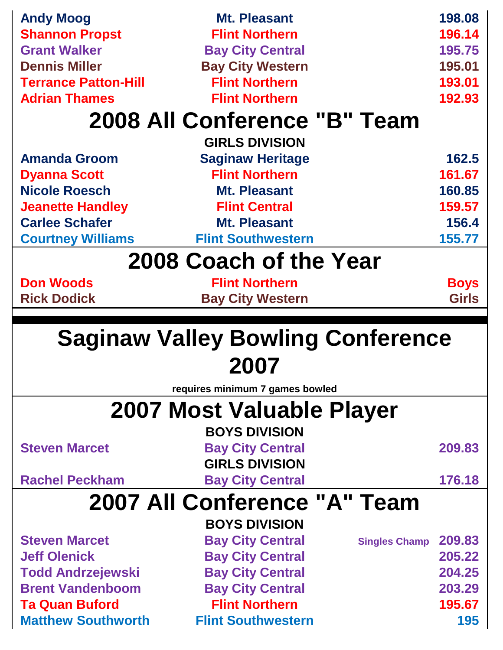| <b>Andy Moog</b>                                   | Mt. Pleasant                                       | 198.08                         |
|----------------------------------------------------|----------------------------------------------------|--------------------------------|
| <b>Shannon Propst</b>                              | <b>Flint Northern</b>                              | 196.14                         |
| <b>Grant Walker</b>                                | <b>Bay City Central</b>                            | 195.75                         |
| <b>Dennis Miller</b>                               | <b>Bay City Western</b>                            | 195.01                         |
| <b>Terrance Patton-Hill</b>                        | <b>Flint Northern</b>                              | 193.01                         |
| <b>Adrian Thames</b>                               | <b>Flint Northern</b>                              | 192.93                         |
|                                                    | 2008 All Conference "B" Team                       |                                |
|                                                    | <b>GIRLS DIVISION</b>                              |                                |
| <b>Amanda Groom</b>                                | <b>Saginaw Heritage</b>                            | 162.5                          |
| <b>Dyanna Scott</b>                                | <b>Flint Northern</b>                              | 161.67                         |
| <b>Nicole Roesch</b>                               | <b>Mt. Pleasant</b>                                | 160.85                         |
| <b>Jeanette Handley</b>                            | <b>Flint Central</b>                               | 159.57                         |
| <b>Carlee Schafer</b>                              | <b>Mt. Pleasant</b>                                | 156.4                          |
| <b>Courtney Williams</b>                           | <b>Flint Southwestern</b>                          | 155.77                         |
| 2008 Coach of the Year                             |                                                    |                                |
| <b>Don Woods</b>                                   | <b>Flint Northern</b>                              | <b>Boys</b>                    |
| <b>Rick Dodick</b>                                 | <b>Bay City Western</b>                            | <b>Girls</b>                   |
|                                                    |                                                    |                                |
|                                                    |                                                    |                                |
|                                                    | <b>Saginaw Valley Bowling Conference</b>           |                                |
|                                                    | 2007                                               |                                |
|                                                    | requires minimum 7 games bowled                    |                                |
|                                                    | 2007 Most Valuable Player                          |                                |
|                                                    | <b>BOYS DIVISION</b>                               |                                |
| <b>Steven Marcet</b>                               | <b>Bay City Central</b>                            | 209.83                         |
|                                                    | <b>GIRLS DIVISION</b>                              |                                |
| <b>Rachel Peckham</b>                              | <b>Bay City Central</b>                            | 176.18                         |
|                                                    | 2007 All Conference "A" Team                       |                                |
|                                                    | <b>BOYS DIVISION</b>                               |                                |
| <b>Steven Marcet</b>                               | <b>Bay City Central</b>                            | 209.83<br><b>Singles Champ</b> |
| <b>Jeff Olenick</b>                                | <b>Bay City Central</b>                            | 205.22                         |
| <b>Todd Andrzejewski</b>                           | <b>Bay City Central</b>                            | 204.25                         |
| <b>Brent Vandenboom</b>                            | <b>Bay City Central</b>                            | 203.29                         |
| <b>Ta Quan Buford</b><br><b>Matthew Southworth</b> | <b>Flint Northern</b><br><b>Flint Southwestern</b> | 195.67<br>195                  |